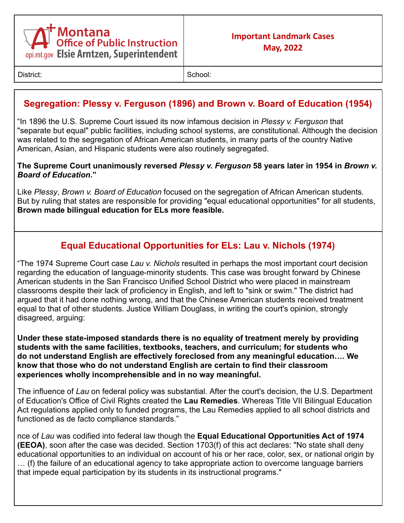

District: School: School: School: School: School: School: School: School: School: School: School: School: School: School: School: School: School: School: School: School: School: School: School: School: School: School: Scho

# **Segregation: Plessy v. Ferguson (1896) and Brown v. Board of Education (1954)**

"In 1896 the U.S. Supreme Court issued its now infamous decision in *Plessy v. Ferguson* that "separate but equal" public facilities, including school systems, are constitutional. Although the decision was related to the segregation of African American students, in many parts of the country Native American, Asian, and Hispanic students were also routinely segregated.

#### **The Supreme Court unanimously reversed** *Plessy v. Ferguson* **58 years later in 1954 in** *Brown v. Board of Education***."**

Like *Plessy*, *Brown v. Board of Education* focused on the segregation of African American students. But by ruling that states are responsible for providing "equal educational opportunities" for all students, **Brown made bilingual education for ELs more feasible.**

## **Equal Educational Opportunities for ELs: Lau v. Nichols (1974)**

"The 1974 Supreme Court case *Lau v. Nichols* resulted in perhaps the most important court decision regarding the education of language-minority students. This case was brought forward by Chinese American students in the San Francisco Unified School District who were placed in mainstream classrooms despite their lack of proficiency in English, and left to "sink or swim." The district had argued that it had done nothing wrong, and that the Chinese American students received treatment equal to that of other students. Justice William Douglass, in writing the court's opinion, strongly disagreed, arguing:

**Under these state-imposed standards there is no equality of treatment merely by providing students with the same facilities, textbooks, teachers, and curriculum; for students who do not understand English are effectively foreclosed from any meaningful education…. We know that those who do not understand English are certain to find their classroom experiences wholly incomprehensible and in no way meaningful.**

The influence of *Lau* on federal policy was substantial. After the court's decision, the U.S. Department of Education's Office of Civil Rights created the **Lau Remedies**. Whereas Title VII Bilingual Education Act regulations applied only to funded programs, the Lau Remedies applied to all school districts and functioned as de facto compliance standards."

nce of *Lau* was codified into federal law though the **Equal Educational Opportunities Act of 1974 (EEOA)**, soon after the case was decided. Section 1703(f) of this act declares: "No state shall deny educational opportunities to an individual on account of his or her race, color, sex, or national origin by … (f) the failure of an educational agency to take appropriate action to overcome language barriers that impede equal participation by its students in its instructional programs."